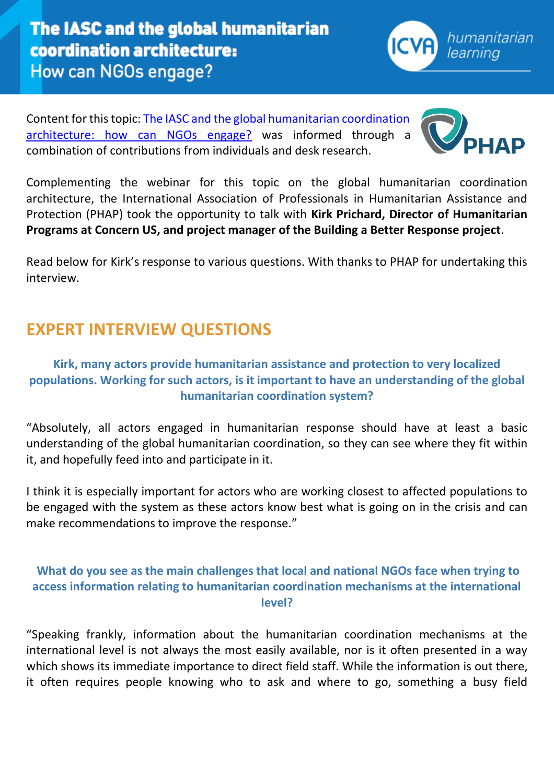Content for this topic: [The IASC and the global humanitarian coordination](https://www.icvanetwork.org/topic-one-%E2%80%93-iasc-and-global-humanitarian-coordination-architecture-how-can-ngos-engage)  [architecture: how can NGOs engage?](https://www.icvanetwork.org/topic-one-%E2%80%93-iasc-and-global-humanitarian-coordination-architecture-how-can-ngos-engage) was informed through a combination of contributions from individuals and desk research.

Complementing the webinar for this topic on the global humanitarian coordination architecture, the International Association of Professionals in Humanitarian Assistance and Protection (PHAP) took the opportunity to talk with **Kirk Prichard, Director of Humanitarian Programs at Concern US, and project manager of the Building a Better Response project**.

Read below for Kirk's response to various questions. With thanks to PHAP for undertaking this interview.

## **EXPERT INTERVIEW QUESTIONS**

## **Kirk, many actors provide humanitarian assistance and protection to very localized populations. Working for such actors, is it important to have an understanding of the global humanitarian coordination system?**

"Absolutely, all actors engaged in humanitarian response should have at least a basic understanding of the global humanitarian coordination, so they can see where they fit within it, and hopefully feed into and participate in it.

I think it is especially important for actors who are working closest to affected populations to be engaged with the system as these actors know best what is going on in the crisis and can make recommendations to improve the response."

## **What do you see as the main challenges that local and national NGOs face when trying to access information relating to humanitarian coordination mechanisms at the international level?**

"Speaking frankly, information about the humanitarian coordination mechanisms at the international level is not always the most easily available, nor is it often presented in a way which shows its immediate importance to direct field staff. While the information is out there, it often requires people knowing who to ask and where to go, something a busy field